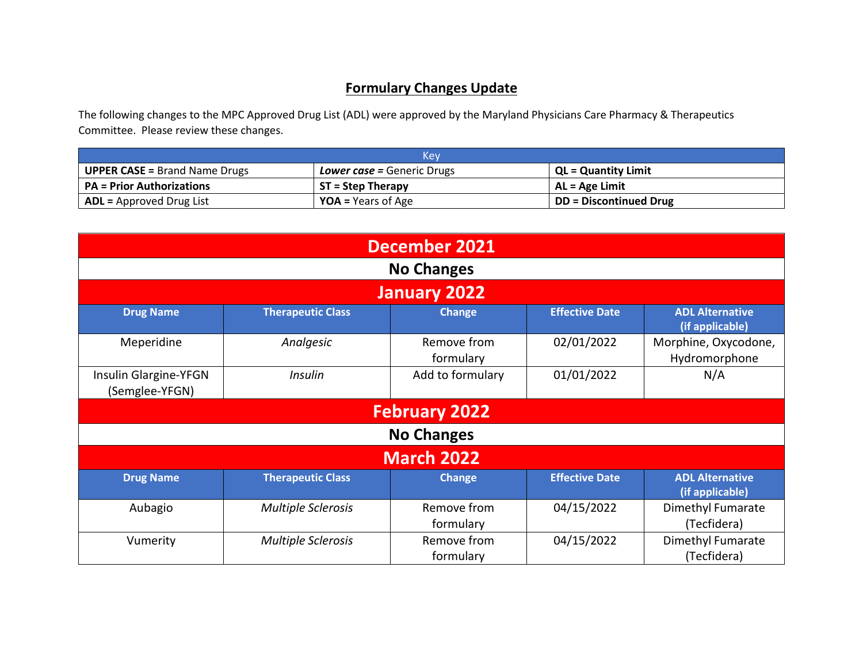## **Formulary Changes Update**

The following changes to the MPC Approved Drug List (ADL) were approved by the Maryland Physicians Care Pharmacy & Therapeutics Committee. Please review these changes.

| Kev                                                                       |                           |                            |  |  |
|---------------------------------------------------------------------------|---------------------------|----------------------------|--|--|
| <b>UPPER CASE = Brand Name Drugs</b><br><b>Lower case = Generic Drugs</b> |                           | <b>QL = Quantity Limit</b> |  |  |
| <b>PA</b> = Prior Authorizations<br>$ST = Step Theory$                    |                           | AL = Age Limit             |  |  |
| $\mathsf{I}$ ADL = Approved Drug List                                     | <b>YOA</b> = Years of Age | DD = Discontinued Drug     |  |  |

| <b>December 2021</b>                    |                           |                          |                       |                                           |
|-----------------------------------------|---------------------------|--------------------------|-----------------------|-------------------------------------------|
| <b>No Changes</b>                       |                           |                          |                       |                                           |
| January 2022                            |                           |                          |                       |                                           |
| <b>Drug Name</b>                        | <b>Therapeutic Class</b>  | <b>Change</b>            | <b>Effective Date</b> | <b>ADL Alternative</b><br>(if applicable) |
| Meperidine                              | Analgesic                 | Remove from<br>formulary | 02/01/2022            | Morphine, Oxycodone,<br>Hydromorphone     |
| Insulin Glargine-YFGN<br>(Semglee-YFGN) | Insulin                   | Add to formulary         | 01/01/2022            | N/A                                       |
| <b>February 2022</b>                    |                           |                          |                       |                                           |
|                                         |                           | <b>No Changes</b>        |                       |                                           |
| <b>March 2022</b>                       |                           |                          |                       |                                           |
| <b>Drug Name</b>                        | <b>Therapeutic Class</b>  | <b>Change</b>            | <b>Effective Date</b> | <b>ADL Alternative</b><br>(if applicable) |
| Aubagio                                 | <b>Multiple Sclerosis</b> | Remove from<br>formulary | 04/15/2022            | Dimethyl Fumarate<br>(Tecfidera)          |
| Vumerity                                | <b>Multiple Sclerosis</b> | Remove from<br>formulary | 04/15/2022            | Dimethyl Fumarate<br>(Tecfidera)          |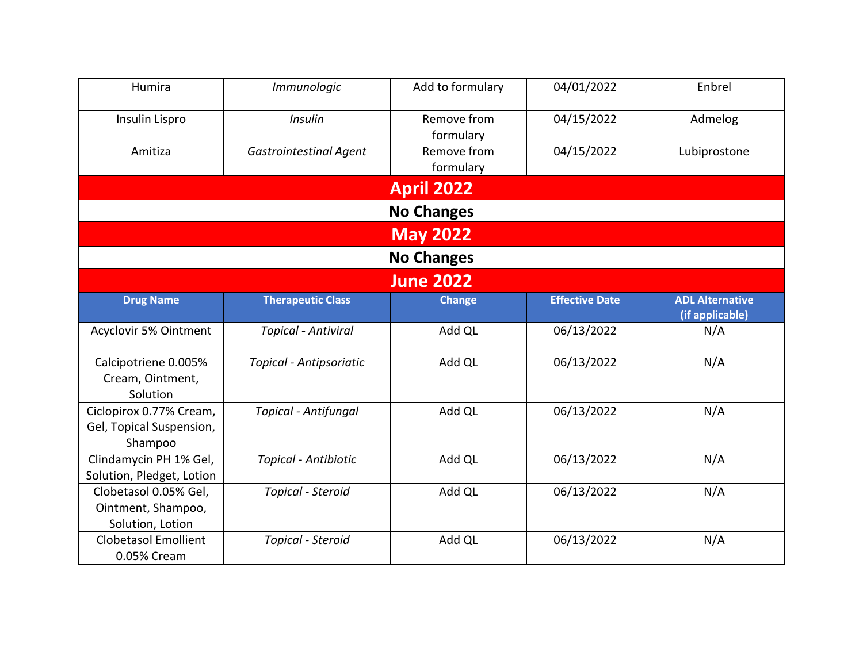| Humira                       | Immunologic                   | Add to formulary         | 04/01/2022            | Enbrel                                    |  |
|------------------------------|-------------------------------|--------------------------|-----------------------|-------------------------------------------|--|
| Insulin Lispro               | <b>Insulin</b>                | Remove from<br>formulary | 04/15/2022            | Admelog                                   |  |
| Amitiza                      | <b>Gastrointestinal Agent</b> | Remove from              | 04/15/2022            | Lubiprostone                              |  |
|                              |                               | formulary                |                       |                                           |  |
|                              |                               | <b>April 2022</b>        |                       |                                           |  |
|                              |                               | <b>No Changes</b>        |                       |                                           |  |
|                              |                               | <b>May 2022</b>          |                       |                                           |  |
|                              | <b>No Changes</b>             |                          |                       |                                           |  |
|                              |                               | <b>June 2022</b>         |                       |                                           |  |
| <b>Drug Name</b>             | <b>Therapeutic Class</b>      | <b>Change</b>            | <b>Effective Date</b> | <b>ADL Alternative</b><br>(if applicable) |  |
| <b>Acyclovir 5% Ointment</b> | <b>Topical - Antiviral</b>    | Add QL                   | 06/13/2022            | N/A                                       |  |
| Calcipotriene 0.005%         | Topical - Antipsoriatic       | Add QL                   | 06/13/2022            | N/A                                       |  |
| Cream, Ointment,             |                               |                          |                       |                                           |  |
| Solution                     |                               |                          |                       |                                           |  |
| Ciclopirox 0.77% Cream,      | <b>Topical - Antifungal</b>   | Add QL                   | 06/13/2022            | N/A                                       |  |
| Gel, Topical Suspension,     |                               |                          |                       |                                           |  |
| Shampoo                      |                               |                          |                       |                                           |  |
| Clindamycin PH 1% Gel,       | Topical - Antibiotic          | Add QL                   | 06/13/2022            | N/A                                       |  |
| Solution, Pledget, Lotion    |                               |                          |                       |                                           |  |
| Clobetasol 0.05% Gel,        | Topical - Steroid             | Add QL                   | 06/13/2022            | N/A                                       |  |
| Ointment, Shampoo,           |                               |                          |                       |                                           |  |
| Solution, Lotion             |                               |                          |                       |                                           |  |
| <b>Clobetasol Emollient</b>  | Topical - Steroid             | Add QL                   | 06/13/2022            | N/A                                       |  |
| 0.05% Cream                  |                               |                          |                       |                                           |  |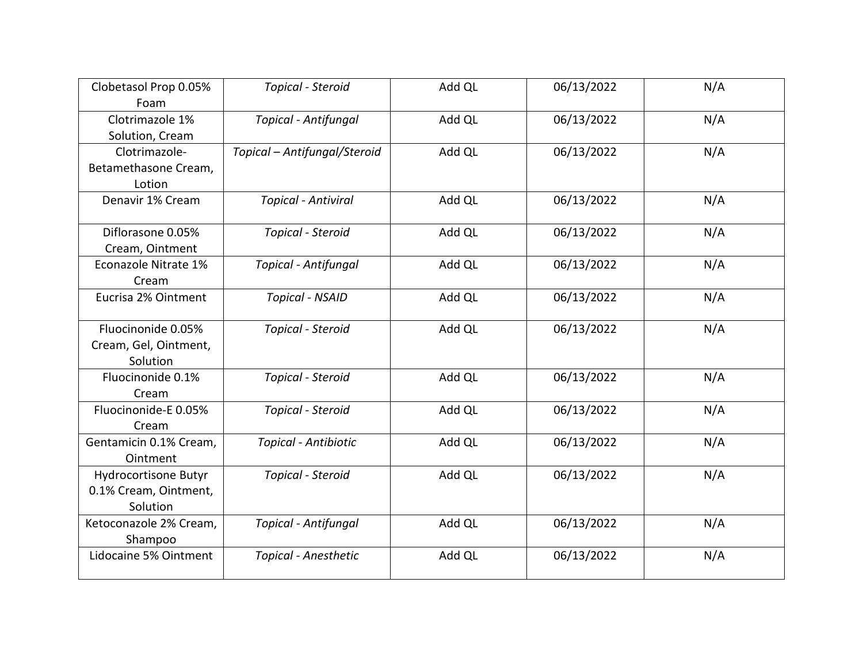| Clobetasol Prop 0.05%  | Topical - Steroid            | Add QL | 06/13/2022 | N/A |
|------------------------|------------------------------|--------|------------|-----|
| Foam                   |                              |        |            |     |
| Clotrimazole 1%        | <b>Topical - Antifungal</b>  | Add QL | 06/13/2022 | N/A |
| Solution, Cream        |                              |        |            |     |
| Clotrimazole-          | Topical - Antifungal/Steroid | Add QL | 06/13/2022 | N/A |
| Betamethasone Cream,   |                              |        |            |     |
| Lotion                 |                              |        |            |     |
| Denavir 1% Cream       | <b>Topical - Antiviral</b>   | Add QL | 06/13/2022 | N/A |
| Diflorasone 0.05%      | Topical - Steroid            | Add QL | 06/13/2022 | N/A |
| Cream, Ointment        |                              |        |            |     |
| Econazole Nitrate 1%   | Topical - Antifungal         | Add QL | 06/13/2022 | N/A |
| Cream                  |                              |        |            |     |
| Eucrisa 2% Ointment    | <b>Topical - NSAID</b>       | Add QL | 06/13/2022 | N/A |
|                        |                              |        |            |     |
| Fluocinonide 0.05%     | Topical - Steroid            | Add QL | 06/13/2022 | N/A |
| Cream, Gel, Ointment,  |                              |        |            |     |
| Solution               |                              |        |            |     |
| Fluocinonide 0.1%      | Topical - Steroid            | Add QL | 06/13/2022 | N/A |
| Cream                  |                              |        |            |     |
| Fluocinonide-E 0.05%   | Topical - Steroid            | Add QL | 06/13/2022 | N/A |
| Cream                  |                              |        |            |     |
| Gentamicin 0.1% Cream, | Topical - Antibiotic         | Add QL | 06/13/2022 | N/A |
| Ointment               |                              |        |            |     |
| Hydrocortisone Butyr   | Topical - Steroid            | Add QL | 06/13/2022 | N/A |
| 0.1% Cream, Ointment,  |                              |        |            |     |
| Solution               |                              |        |            |     |
|                        |                              |        |            |     |
| Ketoconazole 2% Cream, | <b>Topical - Antifungal</b>  | Add QL | 06/13/2022 | N/A |
| Shampoo                |                              |        |            |     |
| Lidocaine 5% Ointment  | Topical - Anesthetic         | Add QL | 06/13/2022 | N/A |
|                        |                              |        |            |     |